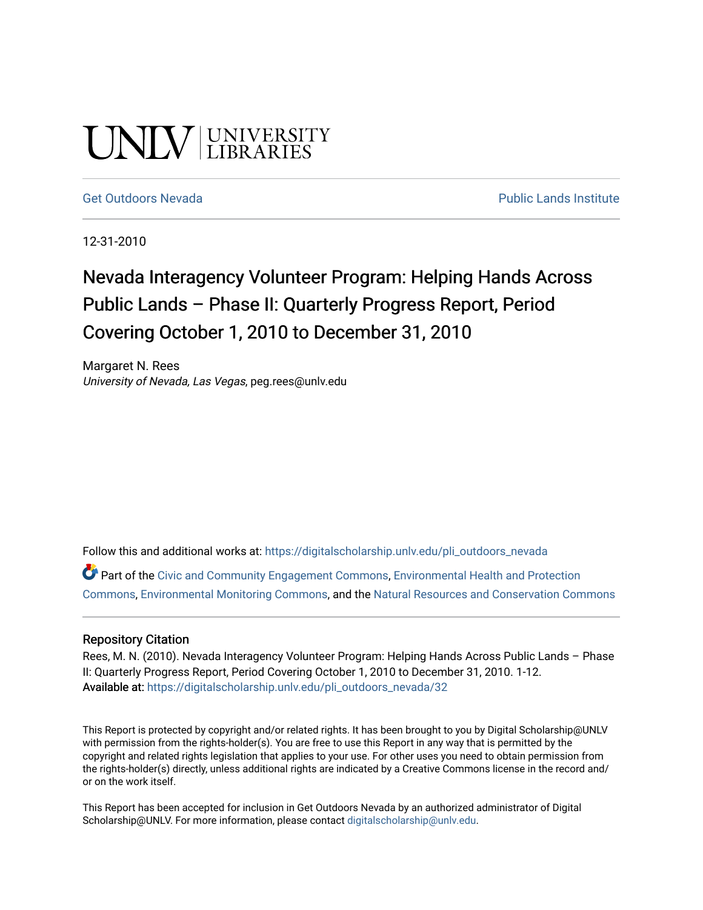# UNIV UNIVERSITY

#### [Get Outdoors Nevada](https://digitalscholarship.unlv.edu/pli_outdoors_nevada) **Public Lands Institute** Public Lands Institute

12-31-2010

# Nevada Interagency Volunteer Program: Helping Hands Across Public Lands – Phase II: Quarterly Progress Report, Period Covering October 1, 2010 to December 31, 2010

Margaret N. Rees University of Nevada, Las Vegas, peg.rees@unlv.edu

Follow this and additional works at: [https://digitalscholarship.unlv.edu/pli\\_outdoors\\_nevada](https://digitalscholarship.unlv.edu/pli_outdoors_nevada?utm_source=digitalscholarship.unlv.edu%2Fpli_outdoors_nevada%2F32&utm_medium=PDF&utm_campaign=PDFCoverPages)

Part of the [Civic and Community Engagement Commons](http://network.bepress.com/hgg/discipline/1028?utm_source=digitalscholarship.unlv.edu%2Fpli_outdoors_nevada%2F32&utm_medium=PDF&utm_campaign=PDFCoverPages), [Environmental Health and Protection](http://network.bepress.com/hgg/discipline/172?utm_source=digitalscholarship.unlv.edu%2Fpli_outdoors_nevada%2F32&utm_medium=PDF&utm_campaign=PDFCoverPages)  [Commons](http://network.bepress.com/hgg/discipline/172?utm_source=digitalscholarship.unlv.edu%2Fpli_outdoors_nevada%2F32&utm_medium=PDF&utm_campaign=PDFCoverPages), [Environmental Monitoring Commons,](http://network.bepress.com/hgg/discipline/931?utm_source=digitalscholarship.unlv.edu%2Fpli_outdoors_nevada%2F32&utm_medium=PDF&utm_campaign=PDFCoverPages) and the [Natural Resources and Conservation Commons](http://network.bepress.com/hgg/discipline/168?utm_source=digitalscholarship.unlv.edu%2Fpli_outdoors_nevada%2F32&utm_medium=PDF&utm_campaign=PDFCoverPages)

#### Repository Citation

Rees, M. N. (2010). Nevada Interagency Volunteer Program: Helping Hands Across Public Lands - Phase II: Quarterly Progress Report, Period Covering October 1, 2010 to December 31, 2010. 1-12. Available at: [https://digitalscholarship.unlv.edu/pli\\_outdoors\\_nevada/32](https://digitalscholarship.unlv.edu/pli_outdoors_nevada/32) 

This Report is protected by copyright and/or related rights. It has been brought to you by Digital Scholarship@UNLV with permission from the rights-holder(s). You are free to use this Report in any way that is permitted by the copyright and related rights legislation that applies to your use. For other uses you need to obtain permission from the rights-holder(s) directly, unless additional rights are indicated by a Creative Commons license in the record and/ or on the work itself.

This Report has been accepted for inclusion in Get Outdoors Nevada by an authorized administrator of Digital Scholarship@UNLV. For more information, please contact [digitalscholarship@unlv.edu.](mailto:digitalscholarship@unlv.edu)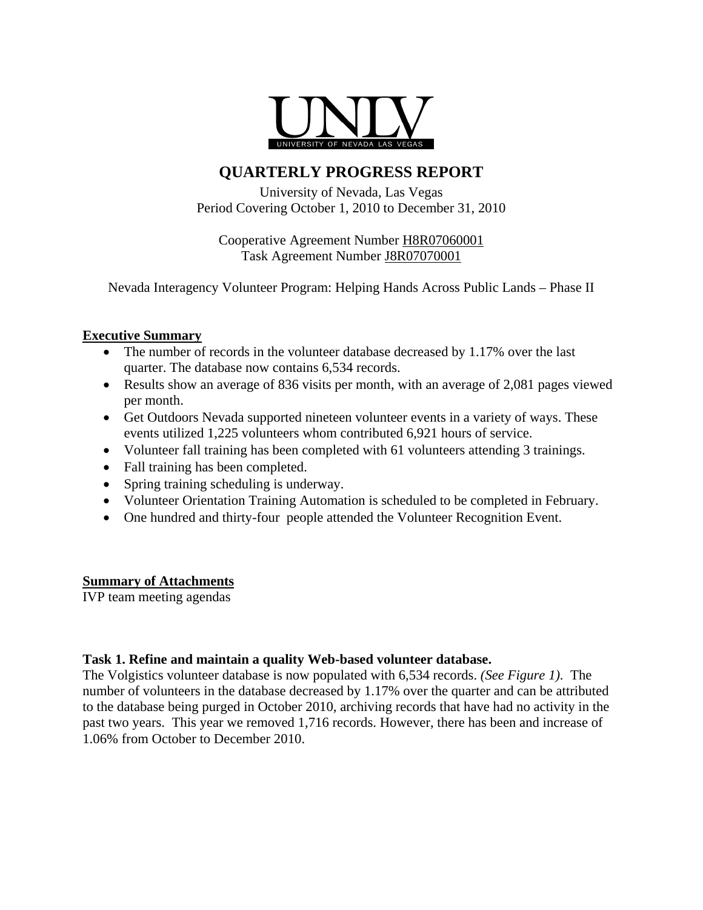

# **QUARTERLY PROGRESS REPORT**

University of Nevada, Las Vegas Period Covering October 1, 2010 to December 31, 2010

Cooperative Agreement Number H8R07060001 Task Agreement Number J8R07070001

Nevada Interagency Volunteer Program: Helping Hands Across Public Lands – Phase II

# **Executive Summary**

- The number of records in the volunteer database decreased by 1.17% over the last quarter. The database now contains 6,534 records.
- Results show an average of 836 visits per month, with an average of 2,081 pages viewed per month.
- Get Outdoors Nevada supported nineteen volunteer events in a variety of ways. These events utilized 1,225 volunteers whom contributed 6,921 hours of service.
- Volunteer fall training has been completed with 61 volunteers attending 3 trainings.
- Fall training has been completed.
- Spring training scheduling is underway.
- Volunteer Orientation Training Automation is scheduled to be completed in February.
- One hundred and thirty-four people attended the Volunteer Recognition Event.

# **Summary of Attachments**

IVP team meeting agendas

# **Task 1. Refine and maintain a quality Web-based volunteer database.**

The Volgistics volunteer database is now populated with 6,534 records. *(See Figure 1)*. The number of volunteers in the database decreased by 1.17% over the quarter and can be attributed to the database being purged in October 2010, archiving records that have had no activity in the past two years. This year we removed 1,716 records. However, there has been and increase of 1.06% from October to December 2010.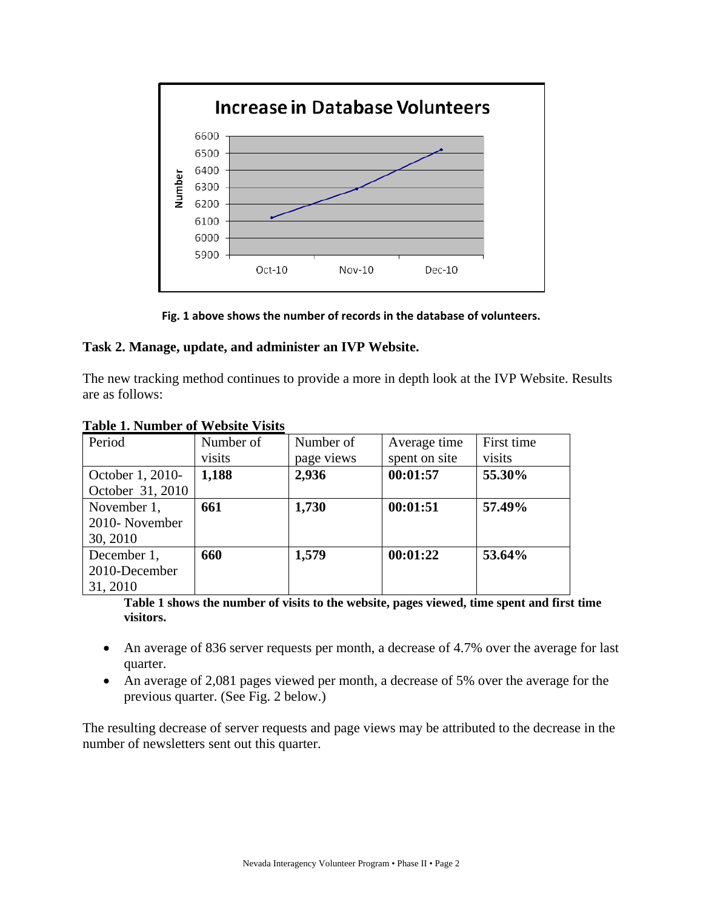

**Fig. 1 above shows the number of records in the database of volunteers.**

# **Task 2. Manage, update, and administer an IVP Website.**

The new tracking method continues to provide a more in depth look at the IVP Website. Results are as follows:

| Period           | Number of | Number of  | Average time  | First time |
|------------------|-----------|------------|---------------|------------|
|                  | visits    | page views | spent on site | visits     |
| October 1, 2010- | 1,188     | 2,936      | 00:01:57      | 55.30%     |
| October 31, 2010 |           |            |               |            |
| November 1,      | 661       | 1,730      | 00:01:51      | 57.49%     |
| 2010-November    |           |            |               |            |
| 30, 2010         |           |            |               |            |
| December 1,      | 660       | 1,579      | 00:01:22      | 53.64%     |
| 2010-December    |           |            |               |            |
| 31, 2010         |           |            |               |            |

#### **Table 1. Number of Website Visits**

**Table 1 shows the number of visits to the website, pages viewed, time spent and first time visitors.** 

- An average of 836 server requests per month, a decrease of 4.7% over the average for last quarter.
- An average of 2,081 pages viewed per month, a decrease of 5% over the average for the previous quarter. (See Fig. 2 below.)

The resulting decrease of server requests and page views may be attributed to the decrease in the number of newsletters sent out this quarter.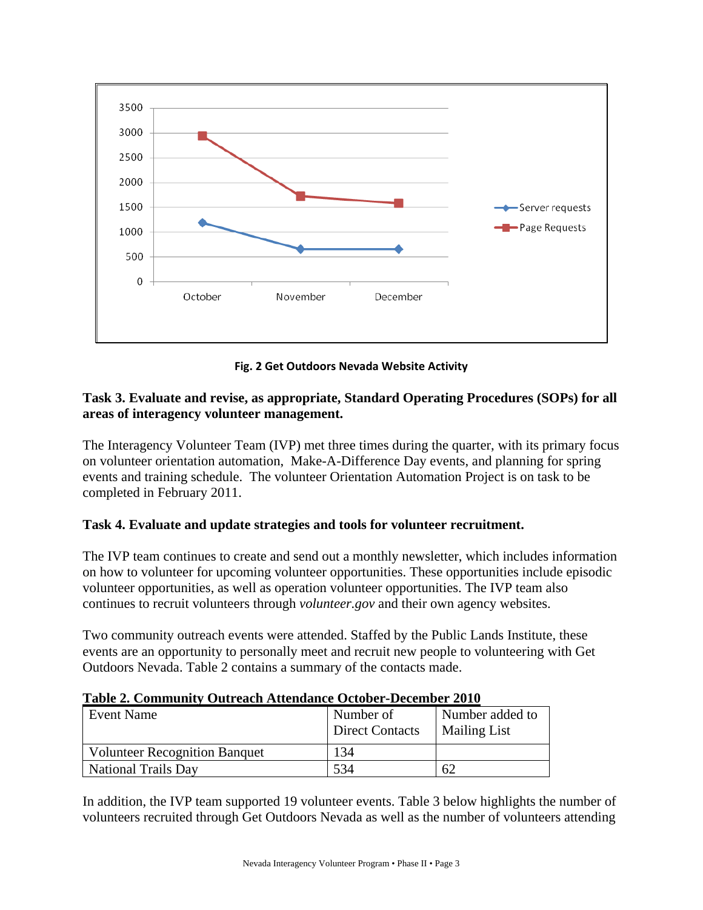

**Fig. 2 Get Outdoors Nevada Website Activity**

# **Task 3. Evaluate and revise, as appropriate, Standard Operating Procedures (SOPs) for all areas of interagency volunteer management.**

The Interagency Volunteer Team (IVP) met three times during the quarter, with its primary focus on volunteer orientation automation, Make-A-Difference Day events, and planning for spring events and training schedule. The volunteer Orientation Automation Project is on task to be completed in February 2011.

# **Task 4. Evaluate and update strategies and tools for volunteer recruitment.**

The IVP team continues to create and send out a monthly newsletter, which includes information on how to volunteer for upcoming volunteer opportunities. These opportunities include episodic volunteer opportunities, as well as operation volunteer opportunities. The IVP team also continues to recruit volunteers through *volunteer.gov* and their own agency websites.

Two community outreach events were attended. Staffed by the Public Lands Institute, these events are an opportunity to personally meet and recruit new people to volunteering with Get Outdoors Nevada. Table 2 contains a summary of the contacts made.

| <b>Event Name</b>                    | Number of<br><b>Direct Contacts</b> | Number added to<br><b>Mailing List</b> |
|--------------------------------------|-------------------------------------|----------------------------------------|
| <b>Volunteer Recognition Banquet</b> | 134                                 |                                        |
| National Trails Day                  | 534                                 | 62                                     |

|  | Table 2. Community Outreach Attendance October-December 2010 |
|--|--------------------------------------------------------------|
|  |                                                              |

In addition, the IVP team supported 19 volunteer events. Table 3 below highlights the number of volunteers recruited through Get Outdoors Nevada as well as the number of volunteers attending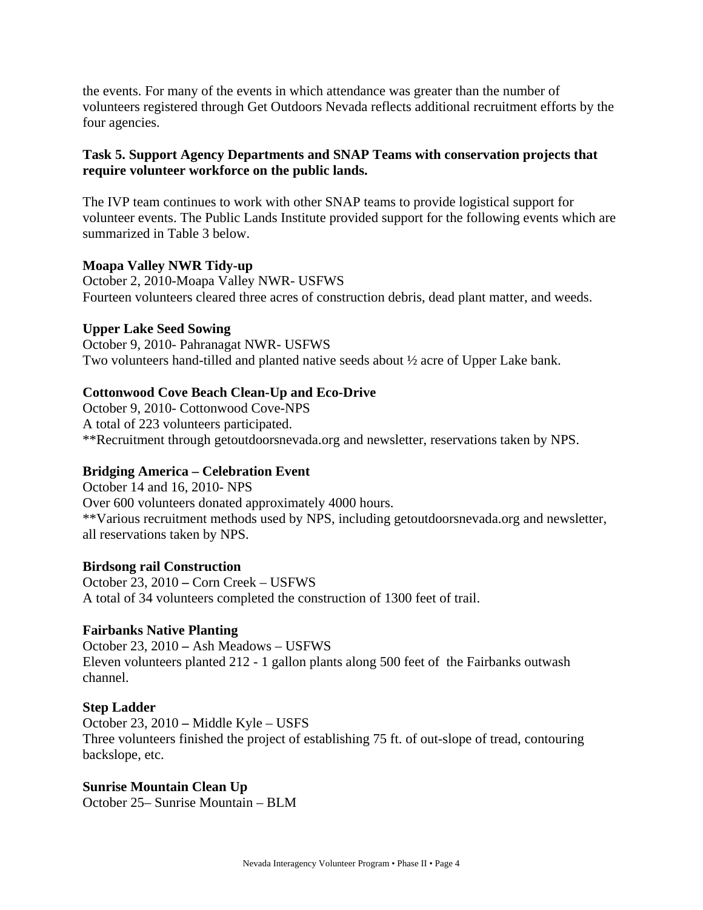the events. For many of the events in which attendance was greater than the number of volunteers registered through Get Outdoors Nevada reflects additional recruitment efforts by the four agencies.

# **Task 5. Support Agency Departments and SNAP Teams with conservation projects that require volunteer workforce on the public lands.**

The IVP team continues to work with other SNAP teams to provide logistical support for volunteer events. The Public Lands Institute provided support for the following events which are summarized in Table 3 below.

# **Moapa Valley NWR Tidy-up**

October 2, 2010-Moapa Valley NWR- USFWS Fourteen volunteers cleared three acres of construction debris, dead plant matter, and weeds.

# **Upper Lake Seed Sowing**

October 9, 2010- Pahranagat NWR- USFWS Two volunteers hand-tilled and planted native seeds about ½ acre of Upper Lake bank.

# **Cottonwood Cove Beach Clean-Up and Eco-Drive**

October 9, 2010- Cottonwood Cove-NPS A total of 223 volunteers participated. \*\*Recruitment through getoutdoorsnevada.org and newsletter, reservations taken by NPS.

# **Bridging America – Celebration Event**

October 14 and 16, 2010- NPS Over 600 volunteers donated approximately 4000 hours. \*\*Various recruitment methods used by NPS, including getoutdoorsnevada.org and newsletter, all reservations taken by NPS.

#### **Birdsong rail Construction**

October 23, 2010 **–** Corn Creek – USFWS A total of 34 volunteers completed the construction of 1300 feet of trail.

#### **Fairbanks Native Planting**

October 23, 2010 **–** Ash Meadows – USFWS Eleven volunteers planted 212 - 1 gallon plants along 500 feet of the Fairbanks outwash channel.

#### **Step Ladder**

October 23, 2010 **–** Middle Kyle – USFS Three volunteers finished the project of establishing 75 ft. of out-slope of tread, contouring backslope, etc.

#### **Sunrise Mountain Clean Up**

October 25– Sunrise Mountain – BLM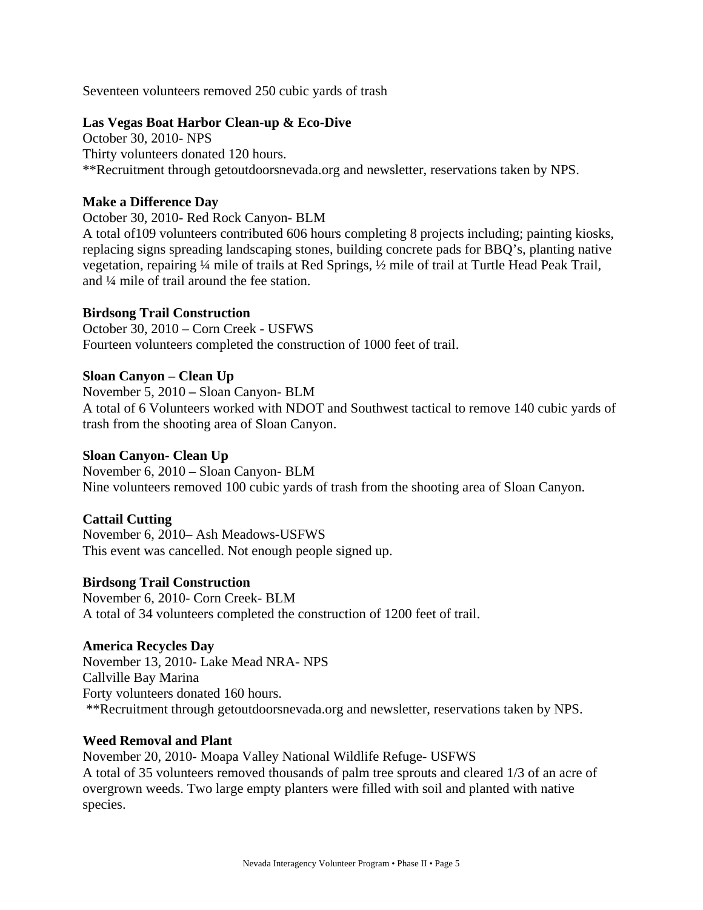Seventeen volunteers removed 250 cubic yards of trash

#### **Las Vegas Boat Harbor Clean-up & Eco-Dive**

October 30, 2010- NPS Thirty volunteers donated 120 hours. \*\*Recruitment through getoutdoorsnevada.org and newsletter, reservations taken by NPS.

#### **Make a Difference Day**

October 30, 2010- Red Rock Canyon- BLM

A total of109 volunteers contributed 606 hours completing 8 projects including; painting kiosks, replacing signs spreading landscaping stones, building concrete pads for BBQ's, planting native vegetation, repairing ¼ mile of trails at Red Springs, ½ mile of trail at Turtle Head Peak Trail, and ¼ mile of trail around the fee station.

#### **Birdsong Trail Construction**

October 30, 2010 – Corn Creek - USFWS Fourteen volunteers completed the construction of 1000 feet of trail.

#### **Sloan Canyon – Clean Up**

November 5, 2010 **–** Sloan Canyon- BLM A total of 6 Volunteers worked with NDOT and Southwest tactical to remove 140 cubic yards of trash from the shooting area of Sloan Canyon.

#### **Sloan Canyon- Clean Up**

November 6, 2010 **–** Sloan Canyon- BLM Nine volunteers removed 100 cubic yards of trash from the shooting area of Sloan Canyon.

#### **Cattail Cutting**

November 6, 2010– Ash Meadows-USFWS This event was cancelled. Not enough people signed up.

#### **Birdsong Trail Construction**

November 6, 2010- Corn Creek- BLM A total of 34 volunteers completed the construction of 1200 feet of trail.

#### **America Recycles Day**

November 13, 2010- Lake Mead NRA- NPS Callville Bay Marina Forty volunteers donated 160 hours. \*\*Recruitment through getoutdoorsnevada.org and newsletter, reservations taken by NPS.

#### **Weed Removal and Plant**

November 20, 2010- Moapa Valley National Wildlife Refuge- USFWS A total of 35 volunteers removed thousands of palm tree sprouts and cleared 1/3 of an acre of overgrown weeds. Two large empty planters were filled with soil and planted with native species.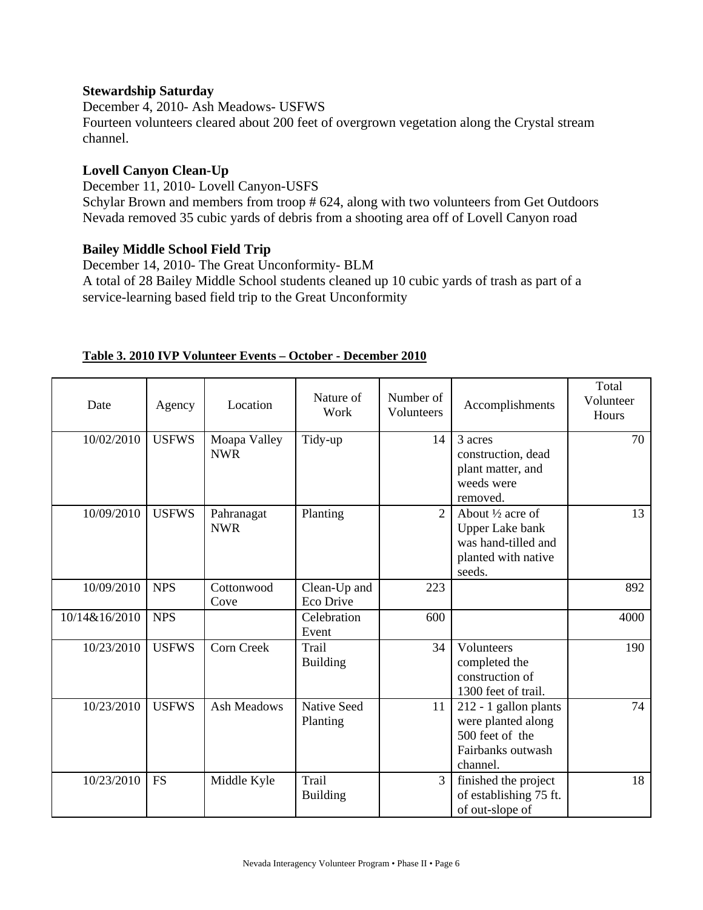#### **Stewardship Saturday**

December 4, 2010- Ash Meadows- USFWS Fourteen volunteers cleared about 200 feet of overgrown vegetation along the Crystal stream channel.

#### **Lovell Canyon Clean-Up**

December 11, 2010- Lovell Canyon-USFS Schylar Brown and members from troop # 624, along with two volunteers from Get Outdoors Nevada removed 35 cubic yards of debris from a shooting area off of Lovell Canyon road

#### **Bailey Middle School Field Trip**

December 14, 2010- The Great Unconformity- BLM A total of 28 Bailey Middle School students cleaned up 10 cubic yards of trash as part of a service-learning based field trip to the Great Unconformity

| Date          | Agency       | Location                   | Nature of<br>Work              | Number of<br>Volunteers | Accomplishments                                                                                               | Total<br>Volunteer<br>Hours |
|---------------|--------------|----------------------------|--------------------------------|-------------------------|---------------------------------------------------------------------------------------------------------------|-----------------------------|
| 10/02/2010    | <b>USFWS</b> | Moapa Valley<br><b>NWR</b> | Tidy-up                        | 14                      | 3 acres<br>construction, dead<br>plant matter, and<br>weeds were<br>removed.                                  | 70                          |
| 10/09/2010    | <b>USFWS</b> | Pahranagat<br><b>NWR</b>   | Planting                       | $\overline{2}$          | About $\frac{1}{2}$ acre of<br><b>Upper Lake bank</b><br>was hand-tilled and<br>planted with native<br>seeds. | 13                          |
| 10/09/2010    | <b>NPS</b>   | Cottonwood<br>Cove         | Clean-Up and<br>Eco Drive      | 223                     |                                                                                                               | 892                         |
| 10/14&16/2010 | <b>NPS</b>   |                            | Celebration<br>Event           | 600                     |                                                                                                               | 4000                        |
| 10/23/2010    | <b>USFWS</b> | <b>Corn Creek</b>          | Trail<br><b>Building</b>       | 34                      | Volunteers<br>completed the<br>construction of<br>1300 feet of trail.                                         | 190                         |
| 10/23/2010    | <b>USFWS</b> | <b>Ash Meadows</b>         | <b>Native Seed</b><br>Planting | 11                      | 212 - 1 gallon plants<br>were planted along<br>500 feet of the<br>Fairbanks outwash<br>channel.               | 74                          |
| 10/23/2010    | <b>FS</b>    | Middle Kyle                | Trail<br><b>Building</b>       | 3                       | finished the project<br>of establishing 75 ft.<br>of out-slope of                                             | 18                          |

#### **Table 3. 2010 IVP Volunteer Events – October - December 2010**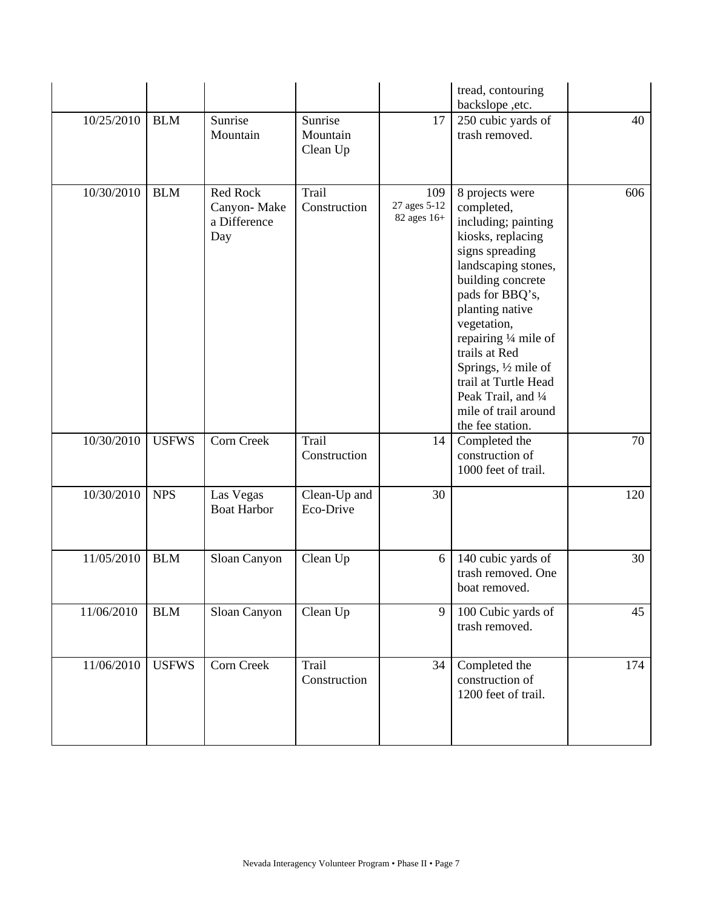|            |              |                                                |                                 |                                    | tread, contouring<br>backslope ,etc.                                                                                                                                                                                                                                                                                                                       |     |
|------------|--------------|------------------------------------------------|---------------------------------|------------------------------------|------------------------------------------------------------------------------------------------------------------------------------------------------------------------------------------------------------------------------------------------------------------------------------------------------------------------------------------------------------|-----|
| 10/25/2010 | <b>BLM</b>   | Sunrise<br>Mountain                            | Sunrise<br>Mountain<br>Clean Up | 17                                 | 250 cubic yards of<br>trash removed.                                                                                                                                                                                                                                                                                                                       | 40  |
| 10/30/2010 | <b>BLM</b>   | Red Rock<br>Canyon-Make<br>a Difference<br>Day | Trail<br>Construction           | 109<br>27 ages 5-12<br>82 ages 16+ | 8 projects were<br>completed,<br>including; painting<br>kiosks, replacing<br>signs spreading<br>landscaping stones,<br>building concrete<br>pads for BBQ's,<br>planting native<br>vegetation,<br>repairing 1/4 mile of<br>trails at Red<br>Springs, 1/2 mile of<br>trail at Turtle Head<br>Peak Trail, and 1/4<br>mile of trail around<br>the fee station. | 606 |
| 10/30/2010 | <b>USFWS</b> | Corn Creek                                     | Trail<br>Construction           | 14                                 | Completed the<br>construction of<br>1000 feet of trail.                                                                                                                                                                                                                                                                                                    | 70  |
| 10/30/2010 | <b>NPS</b>   | Las Vegas<br><b>Boat Harbor</b>                | Clean-Up and<br>Eco-Drive       | 30                                 |                                                                                                                                                                                                                                                                                                                                                            | 120 |
| 11/05/2010 | <b>BLM</b>   | Sloan Canyon                                   | Clean Up                        | 6                                  | 140 cubic yards of<br>trash removed. One<br>boat removed.                                                                                                                                                                                                                                                                                                  | 30  |
| 11/06/2010 | <b>BLM</b>   | Sloan Canyon                                   | Clean Up                        | 9                                  | 100 Cubic yards of<br>trash removed.                                                                                                                                                                                                                                                                                                                       | 45  |
| 11/06/2010 | <b>USFWS</b> | Corn Creek                                     | Trail<br>Construction           | 34                                 | Completed the<br>construction of<br>1200 feet of trail.                                                                                                                                                                                                                                                                                                    | 174 |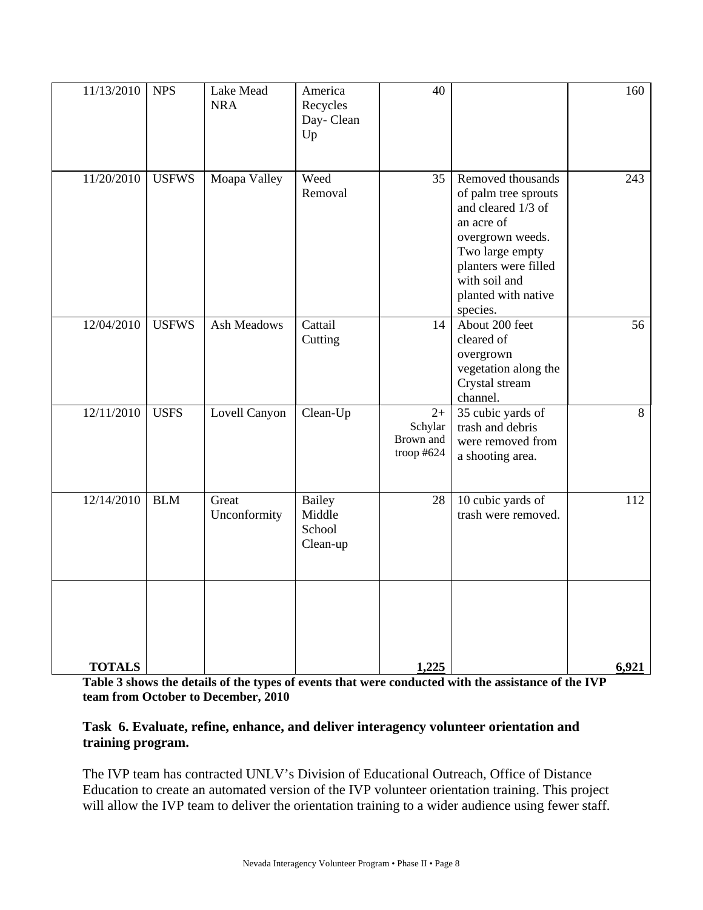| 11/13/2010    | <b>NPS</b>   | Lake Mead<br><b>NRA</b> | America<br>Recycles<br>Day-Clean<br>Up        | 40                                         |                                                                                                                                                                                                  | 160   |
|---------------|--------------|-------------------------|-----------------------------------------------|--------------------------------------------|--------------------------------------------------------------------------------------------------------------------------------------------------------------------------------------------------|-------|
| 11/20/2010    | <b>USFWS</b> | Moapa Valley            | Weed<br>Removal                               | 35                                         | Removed thousands<br>of palm tree sprouts<br>and cleared 1/3 of<br>an acre of<br>overgrown weeds.<br>Two large empty<br>planters were filled<br>with soil and<br>planted with native<br>species. | 243   |
| 12/04/2010    | <b>USFWS</b> | Ash Meadows             | Cattail<br>Cutting                            | 14                                         | About 200 feet<br>cleared of<br>overgrown<br>vegetation along the<br>Crystal stream<br>channel.                                                                                                  | 56    |
| 12/11/2010    | <b>USFS</b>  | Lovell Canyon           | Clean-Up                                      | $2+$<br>Schylar<br>Brown and<br>troop #624 | 35 cubic yards of<br>trash and debris<br>were removed from<br>a shooting area.                                                                                                                   | 8     |
| 12/14/2010    | <b>BLM</b>   | Great<br>Unconformity   | <b>Bailey</b><br>Middle<br>School<br>Clean-up | 28                                         | 10 cubic yards of<br>trash were removed.                                                                                                                                                         | 112   |
| <b>TOTALS</b> |              |                         |                                               | 1,225                                      |                                                                                                                                                                                                  | 6,921 |

**Table 3 shows the details of the types of events that were conducted with the assistance of the IVP team from October to December, 2010** 

# **Task 6. Evaluate, refine, enhance, and deliver interagency volunteer orientation and training program.**

The IVP team has contracted UNLV's Division of Educational Outreach, Office of Distance Education to create an automated version of the IVP volunteer orientation training. This project will allow the IVP team to deliver the orientation training to a wider audience using fewer staff.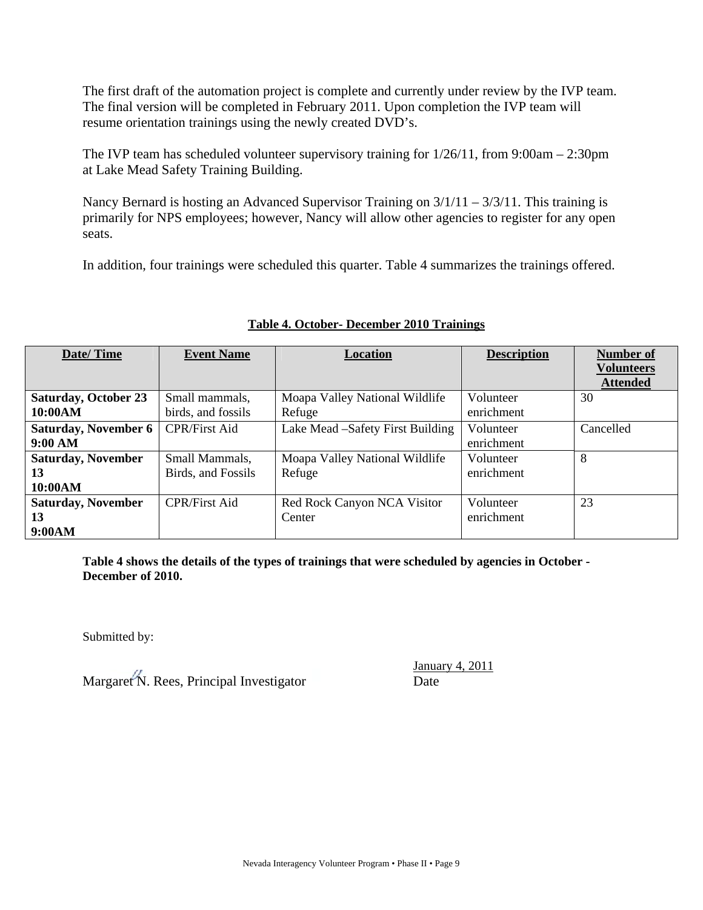The first draft of the automation project is complete and currently under review by the IVP team. The final version will be completed in February 2011. Upon completion the IVP team will resume orientation trainings using the newly created DVD's.

The IVP team has scheduled volunteer supervisory training for 1/26/11, from 9:00am – 2:30pm at Lake Mead Safety Training Building.

Nancy Bernard is hosting an Advanced Supervisor Training on  $3/1/11 - 3/3/11$ . This training is primarily for NPS employees; however, Nancy will allow other agencies to register for any open seats.

In addition, four trainings were scheduled this quarter. Table 4 summarizes the trainings offered.

| Date/Time                   | <b>Event Name</b><br>Location |                                  | <b>Description</b> | <b>Number of</b><br><b>Volunteers</b> |
|-----------------------------|-------------------------------|----------------------------------|--------------------|---------------------------------------|
|                             |                               |                                  |                    | <b>Attended</b>                       |
| <b>Saturday, October 23</b> | Small mammals,                | Moapa Valley National Wildlife   | Volunteer          | 30                                    |
| 10:00AM                     | birds, and fossils            | Refuge                           | enrichment         |                                       |
| <b>Saturday, November 6</b> | <b>CPR/First Aid</b>          | Lake Mead –Safety First Building | Volunteer          | Cancelled                             |
| 9:00 AM                     |                               |                                  | enrichment         |                                       |
| <b>Saturday, November</b>   | Small Mammals,                | Moapa Valley National Wildlife   | Volunteer          | 8                                     |
| 13                          | Birds, and Fossils            | Refuge                           | enrichment         |                                       |
| 10:00AM                     |                               |                                  |                    |                                       |
| <b>Saturday, November</b>   | <b>CPR/First Aid</b>          | Red Rock Canyon NCA Visitor      | Volunteer          | 23                                    |
| 13                          |                               | Center                           | enrichment         |                                       |
| 9:00AM                      |                               |                                  |                    |                                       |

#### **Table 4. October- December 2010 Trainings**

Table 4 shows the details of the types of trainings that were scheduled by agencies in October -**December of 2010.** 

Submitted by:

Margaret N. Rees, Principal Investigator Date

January 4, 2011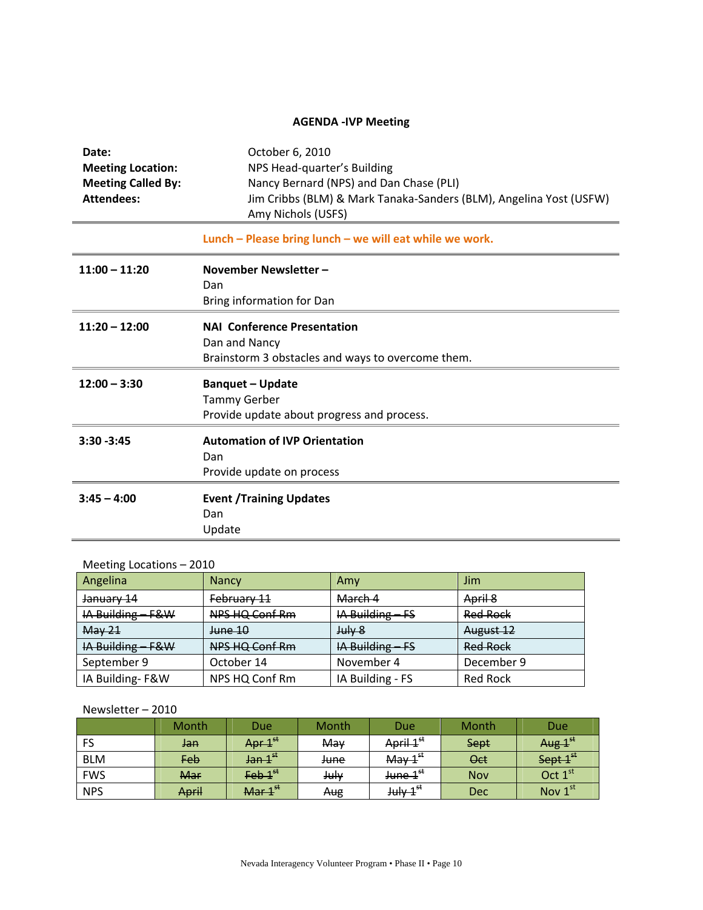#### **AGENDA ‐IVP Meeting**

| Date:                     | October 6, 2010                                                    |
|---------------------------|--------------------------------------------------------------------|
| <b>Meeting Location:</b>  | NPS Head-quarter's Building                                        |
| <b>Meeting Called By:</b> | Nancy Bernard (NPS) and Dan Chase (PLI)                            |
| <b>Attendees:</b>         | Jim Cribbs (BLM) & Mark Tanaka-Sanders (BLM), Angelina Yost (USFW) |
|                           | Amy Nichols (USFS)                                                 |

**Lunch – Please bring lunch – we will eat while we work.**

| $11:00 - 11:20$ | November Newsletter-<br>Dan<br>Bring information for Dan                                                 |
|-----------------|----------------------------------------------------------------------------------------------------------|
| $11:20 - 12:00$ | <b>NAI Conference Presentation</b><br>Dan and Nancy<br>Brainstorm 3 obstacles and ways to overcome them. |
| $12:00 - 3:30$  | <b>Banquet - Update</b><br><b>Tammy Gerber</b><br>Provide update about progress and process.             |
| $3:30 - 3:45$   | <b>Automation of IVP Orientation</b><br>Dan<br>Provide update on process                                 |
| $3:45 - 4:00$   | <b>Event /Training Updates</b><br>Dan<br>Update                                                          |

Meeting Locations – 2010

| Angelina          | <b>Nancy</b>   | Amy               | Jim             |
|-------------------|----------------|-------------------|-----------------|
| January 14        | February 11    | March 4           | April 8         |
| IA Building - F&W | NPS HQ Conf Rm | IA Building - FS  | <b>Red Rock</b> |
| May <sub>21</sub> | <b>June 10</b> | Julv <sub>8</sub> | August 12       |
| IA Building - F&W | NPS HQ Conf Rm | IA Building - FS  | <b>Red Rock</b> |
| September 9       | October 14     | November 4        | December 9      |
| IA Building-F&W   | NPS HQ Conf Rm | IA Building - FS  | <b>Red Rock</b> |

Newsletter – 2010

|            | Month          | Due                            | Month           | Due                        | Month      | Due        |
|------------|----------------|--------------------------------|-----------------|----------------------------|------------|------------|
| FS         | <del>Jan</del> | Apr $1st$                      | May             | April 1st                  | Sept       | Aug $1st$  |
| <b>BLM</b> | <b>Feb</b>     | Jan <sub>4</sub> <sup>st</sup> | <del>June</del> | $\text{May 4}^{\text{st}}$ | <b>Oct</b> | Sept $1st$ |
| <b>FWS</b> | Mar            | Feb.1 <sup>st</sup>            | July            | June $1^{st}$              | <b>Nov</b> | Oct $1st$  |
| <b>NPS</b> | April          | Mar $1^{st}$                   | Aug             | July <sup>4</sup>          | <b>Dec</b> | Nov $1st$  |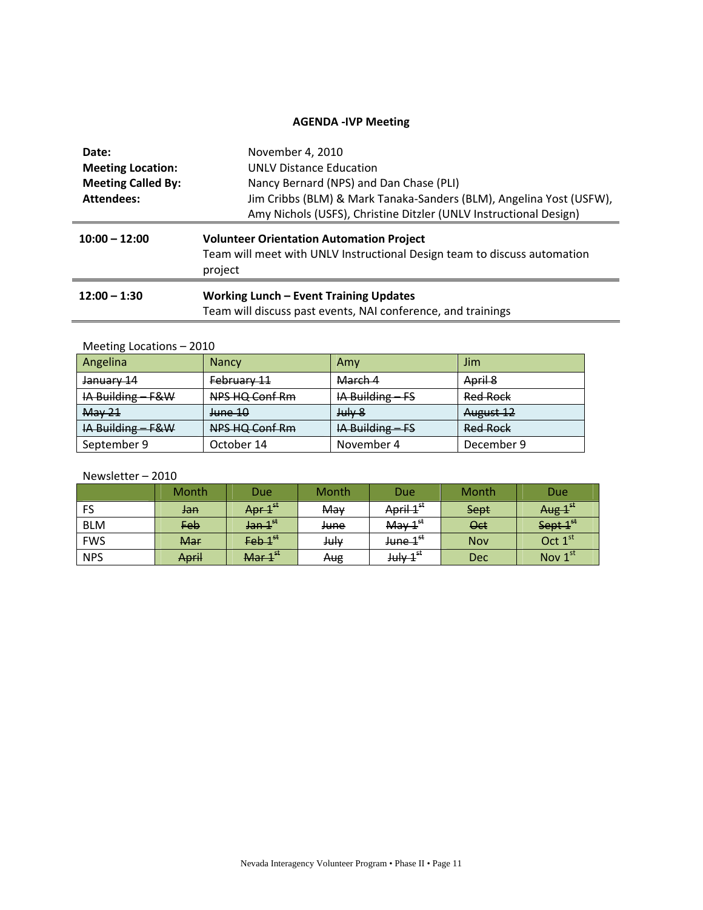# **AGENDA ‐IVP Meeting**

| Date:                     | November 4, 2010                                                                                                            |  |  |
|---------------------------|-----------------------------------------------------------------------------------------------------------------------------|--|--|
| <b>Meeting Location:</b>  | <b>UNLV Distance Education</b>                                                                                              |  |  |
| <b>Meeting Called By:</b> | Nancy Bernard (NPS) and Dan Chase (PLI)                                                                                     |  |  |
| <b>Attendees:</b>         | Jim Cribbs (BLM) & Mark Tanaka-Sanders (BLM), Angelina Yost (USFW),                                                         |  |  |
|                           | Amy Nichols (USFS), Christine Ditzler (UNLV Instructional Design)                                                           |  |  |
| $10:00 - 12:00$           | <b>Volunteer Orientation Automation Project</b><br>Team will meet with UNLV Instructional Design team to discuss automation |  |  |
|                           | project                                                                                                                     |  |  |
| $12:00 - 1:30$            | <b>Working Lunch - Event Training Updates</b><br>Team will discuss past events, NAI conference, and trainings               |  |  |

#### Meeting Locations – 2010

| Angelina          | <b>Nancy</b>   | Amv               | Jim             |
|-------------------|----------------|-------------------|-----------------|
| January 14        | February 11    | March 4           | April 8         |
| IA Building - F&W | NPS HQ Conf Rm | IA Building - FS  | <b>Red Rock</b> |
| $\text{May }21$   | <b>June 10</b> | Julv <sub>8</sub> | August 12       |
| IA Building - F&W | NPS HQ Conf Rm | IA Building - FS  | <b>Red Rock</b> |
| September 9       | October 14     | November 4        | December 9      |

Newsletter – 2010

|            | Month          | Due                   | Month           | Due                        | Month      | Due                 |
|------------|----------------|-----------------------|-----------------|----------------------------|------------|---------------------|
| FS         | <del>Jan</del> | Arr 1 <sup>st</sup>   | May             | April 1st                  | Sept       | Aug $1st$           |
| <b>BLM</b> | <b>Feb</b>     | $tan 1$ <sup>st</sup> | <del>June</del> | $\text{May 1}^{\text{st}}$ | <b>Oct</b> | Sept $1st$          |
| <b>FWS</b> | Mar            | Feb.1 <sup>st</sup>   | July            | $H$ une $1st$              | <b>Nov</b> | Oct $1^{\text{st}}$ |
| <b>NPS</b> | April          | Mar 1 <sup>st</sup>   | Aug             | July 4 <sup>st</sup>       | Dec        | Nov $1st$           |